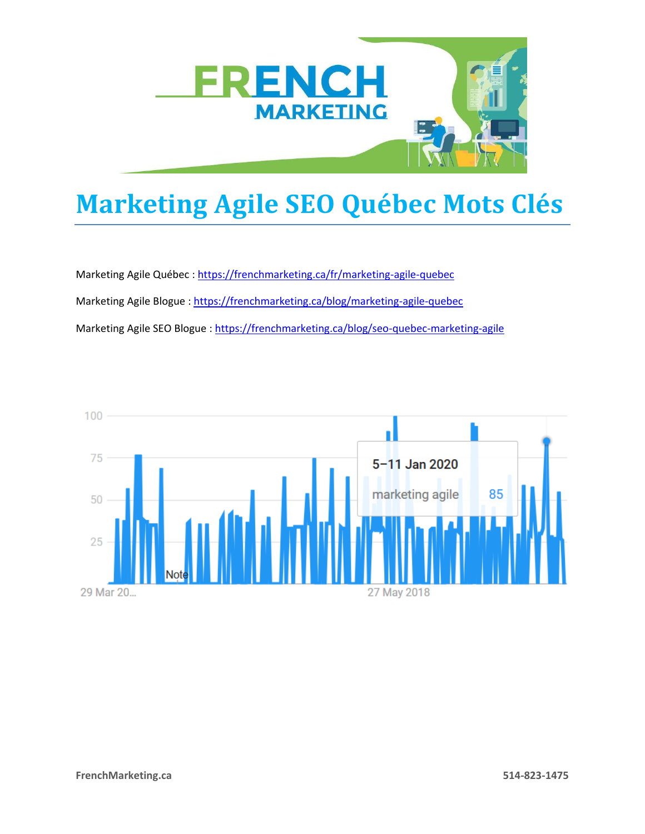

## **Marketing Agile SEO Québec Mots Clés**

Marketing Agile Québec : <https://frenchmarketing.ca/fr/marketing-agile-quebec> Marketing Agile Blogue :<https://frenchmarketing.ca/blog/marketing-agile-quebec> Marketing Agile SEO Blogue :<https://frenchmarketing.ca/blog/seo-quebec-marketing-agile>

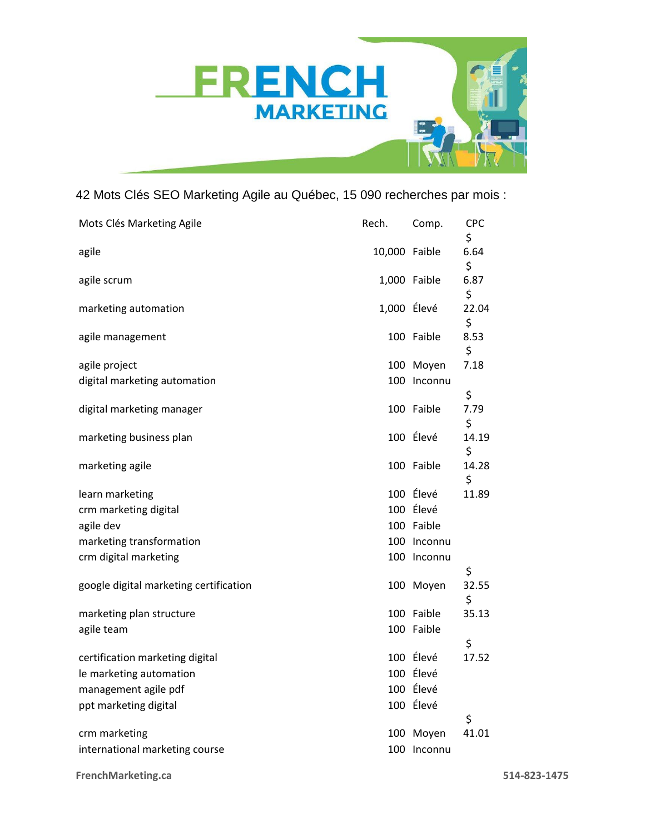

## 42 Mots Clés SEO Marketing Agile au Québec, 15 090 recherches par mois :

| Mots Clés Marketing Agile              | Rech.         | Comp.        | <b>CPC</b><br>\$ |
|----------------------------------------|---------------|--------------|------------------|
| agile                                  | 10,000 Faible |              | 6.64<br>\$       |
| agile scrum                            |               | 1,000 Faible | 6.87<br>\$       |
| marketing automation                   | 1,000 Élevé   |              | 22.04<br>\$      |
| agile management                       |               | 100 Faible   | 8.53<br>\$       |
| agile project                          |               | 100 Moyen    | 7.18             |
| digital marketing automation           | 100           | Inconnu      | \$               |
| digital marketing manager              |               | 100 Faible   | 7.79<br>\$       |
| marketing business plan                |               | 100 Élevé    | 14.19<br>\$      |
| marketing agile                        |               | 100 Faible   | 14.28<br>\$      |
| learn marketing                        |               | 100 Élevé    | 11.89            |
| crm marketing digital                  |               | 100 Élevé    |                  |
| agile dev                              |               | 100 Faible   |                  |
| marketing transformation               | 100           | Inconnu      |                  |
| crm digital marketing                  | 100           | Inconnu      | \$               |
| google digital marketing certification |               | 100 Moyen    | 32.55<br>\$      |
| marketing plan structure               |               | 100 Faible   | 35.13            |
| agile team                             |               | 100 Faible   | \$               |
| certification marketing digital        |               | 100 Élevé    | 17.52            |
| le marketing automation                |               | 100 Élevé    |                  |
| management agile pdf                   |               | 100 Élevé    |                  |
| ppt marketing digital                  |               | 100 Élevé    |                  |
|                                        |               |              | \$               |
| crm marketing                          | 100           | Moyen        | 41.01            |
| international marketing course         |               | 100 Inconnu  |                  |